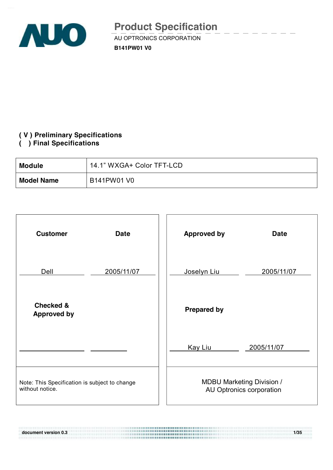

### **( V ) Preliminary Specifications**

**( ) Final Specifications** 

| <b>Module</b>     | 14.1" WXGA+ Color TFT-LCD |
|-------------------|---------------------------|
| <b>Model Name</b> | B141PW01 V0               |



**document version 0.3 1/35**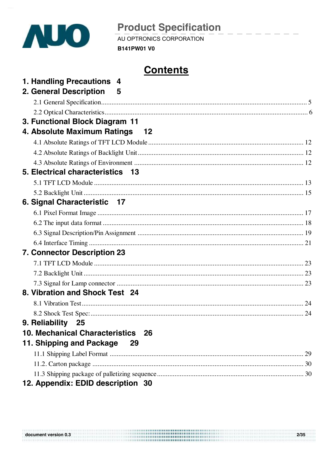

**B141PW01 V0** 

# **Contents**

| 1. Handling Precautions 4<br>2. General Description 5            |  |
|------------------------------------------------------------------|--|
|                                                                  |  |
|                                                                  |  |
|                                                                  |  |
| 3. Functional Block Diagram 11<br>4. Absolute Maximum Ratings 12 |  |
|                                                                  |  |
|                                                                  |  |
|                                                                  |  |
| 5. Electrical characteristics 13                                 |  |
|                                                                  |  |
|                                                                  |  |
| 6. Signal Characteristic 17                                      |  |
|                                                                  |  |
|                                                                  |  |
|                                                                  |  |
|                                                                  |  |
| 7. Connector Description 23                                      |  |
|                                                                  |  |
|                                                                  |  |
|                                                                  |  |
| 8. Vibration and Shock Test 24                                   |  |
|                                                                  |  |
|                                                                  |  |
| 9. Reliability 25                                                |  |
| 10. Mechanical Characteristics 26                                |  |
| 11. Shipping and Package<br>29                                   |  |
|                                                                  |  |
|                                                                  |  |
|                                                                  |  |
| 12. Appendix: EDID description 30                                |  |

| document version 0.3 | 2/35 |
|----------------------|------|
|                      |      |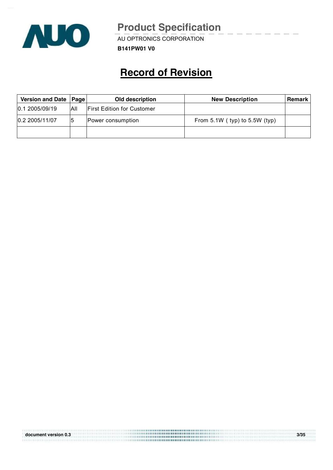

 $\overline{\phantom{a}}$   $\overline{\phantom{a}}$   $\overline{\phantom{a}}$   $\overline{\phantom{a}}$   $\overline{\phantom{a}}$   $\overline{\phantom{a}}$   $\overline{\phantom{a}}$   $\overline{\phantom{a}}$   $\overline{\phantom{a}}$   $\overline{\phantom{a}}$   $\overline{\phantom{a}}$   $\overline{\phantom{a}}$   $\overline{\phantom{a}}$   $\overline{\phantom{a}}$   $\overline{\phantom{a}}$   $\overline{\phantom{a}}$   $\overline{\phantom{a}}$   $\overline{\phantom{a}}$   $\overline{\$ 

**B141PW01 V0**

# **Record of Revision**

| Version and Date   Page |      | Old description                   | <b>New Description</b>            | <b>Remark</b> |
|-------------------------|------|-----------------------------------|-----------------------------------|---------------|
| 0.1 2005/09/19          | ΙAΙΙ | <b>First Edition for Customer</b> |                                   |               |
| 0.2 2005/11/07          |      | Power consumption                 | From $5.1W$ (typ) to $5.5W$ (typ) |               |
|                         |      |                                   |                                   |               |

|                      | ,,,,,,,,,,,,,,,,,,,,,,,,,,,,,,,,,,                                                  |      |
|----------------------|-------------------------------------------------------------------------------------|------|
| document version 0.3 | <b></b><br>,,,,,,,,,,,,,,,,,,,,,,,,,,,,,,,,,,<br>,,,,,,,,,,,,,,,,,,,,,,,,,,,,,,,,,, | 3/35 |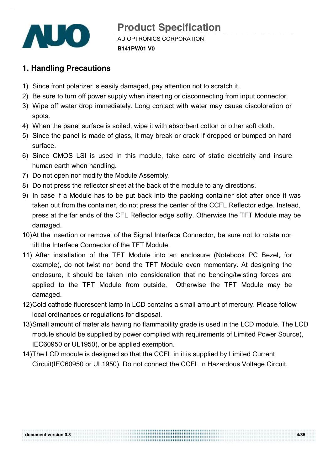

AU OPTRONICS CORPORATION **B141PW01 V0 Product Specification** 

# **1. Handling Precautions**

- 1) Since front polarizer is easily damaged, pay attention not to scratch it.
- 2) Be sure to turn off power supply when inserting or disconnecting from input connector.
- 3) Wipe off water drop immediately. Long contact with water may cause discoloration or spots.
- 4) When the panel surface is soiled, wipe it with absorbent cotton or other soft cloth.
- 5) Since the panel is made of glass, it may break or crack if dropped or bumped on hard surface.
- 6) Since CMOS LSI is used in this module, take care of static electricity and insure human earth when handling.
- 7) Do not open nor modify the Module Assembly.
- 8) Do not press the reflector sheet at the back of the module to any directions.
- 9) In case if a Module has to be put back into the packing container slot after once it was taken out from the container, do not press the center of the CCFL Reflector edge. Instead, press at the far ends of the CFL Reflector edge softly. Otherwise the TFT Module may be damaged.
- 10)At the insertion or removal of the Signal Interface Connector, be sure not to rotate nor tilt the Interface Connector of the TFT Module.
- 11) After installation of the TFT Module into an enclosure (Notebook PC Bezel, for example), do not twist nor bend the TFT Module even momentary. At designing the enclosure, it should be taken into consideration that no bending/twisting forces are applied to the TFT Module from outside. Otherwise the TFT Module may be damaged.
- 12)Cold cathode fluorescent lamp in LCD contains a small amount of mercury. Please follow local ordinances or regulations for disposal.
- 13)Small amount of materials having no flammability grade is used in the LCD module. The LCD module should be supplied by power complied with requirements of Limited Power Source(, IEC60950 or UL1950), or be applied exemption.

**document version 0.3 4/35** 

14)The LCD module is designed so that the CCFL in it is supplied by Limited Current Circuit(IEC60950 or UL1950). Do not connect the CCFL in Hazardous Voltage Circuit.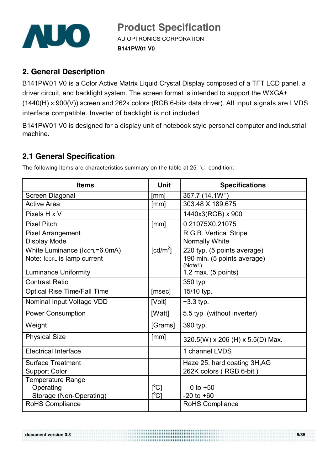

### **2. General Description**

B141PW01 V0 is a Color Active Matrix Liquid Crystal Display composed of a TFT LCD panel, a driver circuit, and backlight system. The screen format is intended to support the WXGA+ (1440(H) x 900(V)) screen and 262k colors (RGB 6-bits data driver). All input signals are LVDS interface compatible. Inverter of backlight is not included.

B141PW01 V0 is designed for a display unit of notebook style personal computer and industrial machine.

## **2.1 General Specification**

**Items Unit Specifications**  Screen Diagonal [mm] 357.7 (14.1W") Active Area **1988** | [mm] | 303.48 X 189.675 Pixels H x V 1440x3(RGB) x 900 Pixel Pitch  $\lvert \text{mm} \rvert$  | 0.21075X0.21075 Pixel Arrangement **R.G.B.** Vertical Stripe Display Mode Normally White Normally White White Luminance (IccFL=6.0mA) Note: ICCFL is lamp current  $[cd/m<sup>2</sup>]$ ] 220 typ. (5 points average) 190 min. (5 points average) (Note1) Luminance Uniformity **1.2 max. (5 points)** Contrast Ratio 2008 and 2009 and 2008 and 350 type 350 type 350 type 350 type 350 type 350 type 350 type 350 typ Optical Rise Time/Fall Time [msec] | 15/10 typ. Nominal Input Voltage VDD  $|V$ olt $|+3.3$  typ. Power Consumption **Figure 1** [Watt] 5.5 typ .(without inverter)  $Weight$   $[Grams]$  390 typ. Physical Size  $\begin{bmatrix} \text{mm} \end{bmatrix}$   $\begin{bmatrix} 320.5(W) \times 206 (H) \times 5.5(D) \end{bmatrix}$  Max. Electrical Interface 1 channel LVDS Surface Treatment Haze 25, hard coating 3H, AG Support Color 262K colors ( RGB 6-bit ) Temperature Range **Operating** Storage (Non-Operating)  $\rm [^{\circ}\rm C]$  $\rm \bar{[}^{\circ}\rm C\bar{]}$  $0$  to  $+50$  $-20$  to  $+60$ RoHS Compliance  $\vert$  RoHS Compliance

The following items are characteristics summary on the table at 25  $\degree$ C condition:

**document version 0.3 5/35**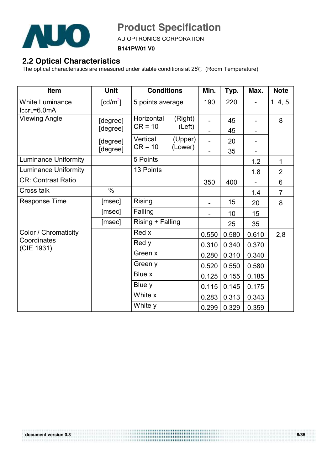

 $\overline{\phantom{a}}$   $\overline{\phantom{a}}$   $\overline{\phantom{a}}$   $\overline{\phantom{a}}$   $\overline{\phantom{a}}$   $\overline{\phantom{a}}$   $\overline{\phantom{a}}$   $\overline{\phantom{a}}$   $\overline{\phantom{a}}$   $\overline{\phantom{a}}$   $\overline{\phantom{a}}$   $\overline{\phantom{a}}$   $\overline{\phantom{a}}$   $\overline{\phantom{a}}$   $\overline{\phantom{a}}$   $\overline{\phantom{a}}$   $\overline{\phantom{a}}$   $\overline{\phantom{a}}$   $\overline{\$ 

**B141PW01 V0**

# **2.2 Optical Characteristics**

The optical characteristics are measured under stable conditions at 25℃ (Room Temperature):

| Item                                  | <b>Unit</b>                    | <b>Conditions</b>     |                  | Min.  | Typ.  | Max.  | <b>Note</b>    |
|---------------------------------------|--------------------------------|-----------------------|------------------|-------|-------|-------|----------------|
| <b>White Luminance</b><br>ICCFL=6.0mA | $\lceil \frac{cd}{m^2} \rceil$ |                       | 5 points average |       | 220   |       | 1, 4, 5.       |
| <b>Viewing Angle</b>                  | [degree]                       | Horizontal            | (Right)          |       | 45    |       | 8              |
|                                       | [degree]                       | $CR = 10$             | (Left)           |       | 45    |       |                |
|                                       | [degree]                       | Vertical<br>$CR = 10$ | (Upper)          |       | 20    |       |                |
|                                       | [degree]                       |                       | (Lower)          |       | 35    |       |                |
| <b>Luminance Uniformity</b>           |                                | 5 Points              |                  |       |       | 1.2   | $\mathbf{1}$   |
| <b>Luminance Uniformity</b>           |                                | 13 Points             |                  |       |       | 1.8   | $\overline{2}$ |
| <b>CR: Contrast Ratio</b>             |                                |                       |                  | 350   | 400   |       | 6              |
| <b>Cross talk</b>                     | $\%$                           |                       |                  |       |       | 1.4   | $\overline{7}$ |
| <b>Response Time</b>                  | [msec]                         | Rising                |                  |       | 15    | 20    | 8              |
|                                       | [msec]                         | Falling               |                  |       | 10    | 15    |                |
|                                       | [msec]                         | Rising + Falling      |                  |       | 25    | 35    |                |
| Color / Chromaticity                  |                                | Red x                 |                  | 0.550 | 0.580 | 0.610 | 2,8            |
| Coordinates<br>(CIE 1931)             |                                | Red y                 |                  | 0.310 | 0.340 | 0.370 |                |
|                                       |                                | Green x               |                  | 0.280 | 0.310 | 0.340 |                |
|                                       |                                | Green y               |                  | 0.520 | 0.550 | 0.580 |                |
|                                       |                                | Blue x                |                  | 0.125 | 0.155 | 0.185 |                |
|                                       |                                | Blue y                |                  | 0.115 | 0.145 | 0.175 |                |
|                                       |                                | White x               |                  | 0.283 | 0.313 | 0.343 |                |
|                                       |                                | White y               |                  | 0.299 | 0.329 | 0.359 |                |

**TERRITORY**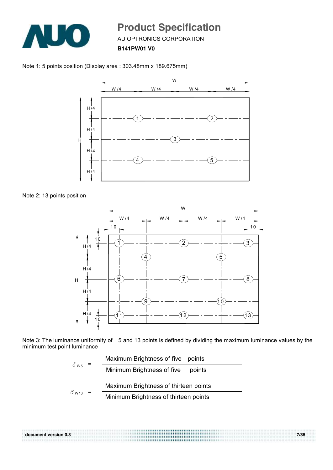

AU OPTRONICS CORPORATION

**B141PW01 V0**





Note 2: 13 points position



Note 3: The luminance uniformity of 5 and 13 points is defined by dividing the maximum luminance values by the minimum test point luminance

|                         | Maximum Brightness of five points    |                                       |  |  |  |  |  |
|-------------------------|--------------------------------------|---------------------------------------|--|--|--|--|--|
| $\delta$ w <sub>5</sub> | Minimum Brightness of five<br>points |                                       |  |  |  |  |  |
|                         |                                      | Maximum Brightness of thirteen points |  |  |  |  |  |
| $\delta$ W13            |                                      | Minimum Brightness of thirteen points |  |  |  |  |  |

**document version 0.3 7/35**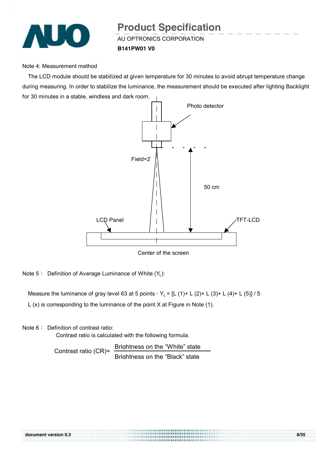

AU OPTRONICS CORPORATION **Product Specification** 

**B141PW01 V0**

#### Note 4: Measurement method

The LCD module should be stabilized at given temperature for 30 minutes to avoid abrupt temperature change during measuring. In order to stabilize the luminance, the measurement should be executed after lighting Backlight for 30 minutes in a stable, windless and dark room.



Note 5: Definition of Average Luminance of White (Y<sub>L</sub>):

Measure the luminance of gray level 63 at 5 points,  $Y_L = [L (1) + L (2) + L (3) + L (4) + L (5)] / 5$ 

L (x) is corresponding to the luminance of the point X at Figure in Note (1).

Note 6: Definition of contrast ratio:

Contrast ratio is calculated with the following formula.

Contrast ratio (CR)= Brightness on the "White" state Brightness on the "Black" state

| document version 0.3 | 8/35 |
|----------------------|------|
|                      |      |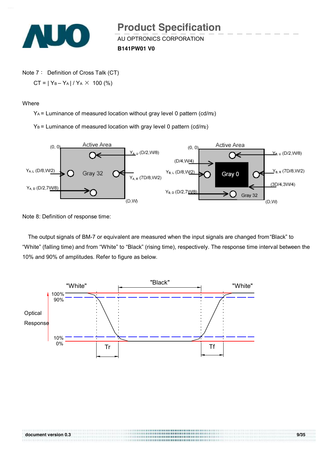

AU OPTRONICS CORPORATION **Product Specification** 

**B141PW01 V0**

Note 7: Definition of Cross Talk (CT)  $CT = |Y_B - Y_A| / Y_A \times 100$  (%)

**Where** 

YA = Luminance of measured location without gray level 0 pattern (cd/m2)

 $Y_B$  = Luminance of measured location with gray level 0 pattern (cd/m2)



Note 8: Definition of response time:

The output signals of BM-7 or equivalent are measured when the input signals are changed from "Black" to "White" (falling time) and from "White" to "Black" (rising time), respectively. The response time interval between the 10% and 90% of amplitudes. Refer to figure as below.

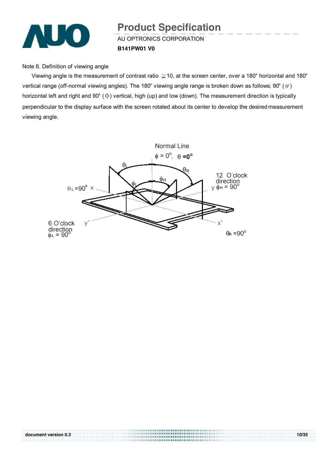

AU OPTRONICS CORPORATION **B141PW01 V0 Product Specification** 

Note 8. Definition of viewing angle

Viewing angle is the measurement of contrast ratio  $\geq$  10, at the screen center, over a 180° horizontal and 180° vertical range (off-normal viewing angles). The 180° viewing angle range is broken down as follows; 90° ( $\theta$ ) horizontal left and right and 90° (Φ) vertical, high (up) and low (down). The measurement direction is typically perpendicular to the display surface with the screen rotated about its center to develop the desired measurement viewing angle.

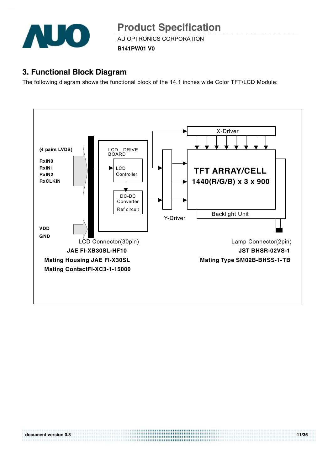

AU OPTRONICS CORPORATION

**B141PW01 V0**

## **3. Functional Block Diagram**

The following diagram shows the functional block of the 14.1 inches wide Color TFT/LCD Module:

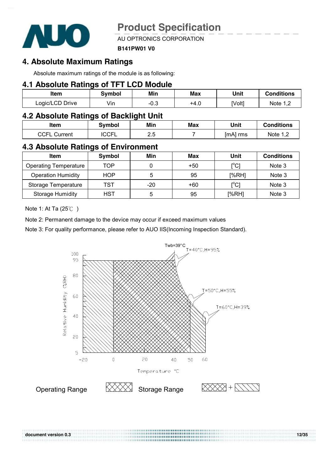

AU OPTRONICS CORPORATION

#### **B141PW01 V0**

### **4. Absolute Maximum Ratings**

Absolute maximum ratings of the module is as following:

### **4.1 Absolute Ratings of TFT LCD Module**

| Item            | Svmbol | Min  | Max  | Unit   | <b>Conditions</b>   |
|-----------------|--------|------|------|--------|---------------------|
| Logic/LCD Drive | √in    | -0.3 | +4.ບ | [Volt] | Note 1 <sup>o</sup> |

### **4.2 Absolute Ratings of Backlight Unit**

| ltem                | Svmbol      | Min       | Max | Unit     | <b>Conditions</b> |
|---------------------|-------------|-----------|-----|----------|-------------------|
| <b>CCFL Current</b> | <b>CCFL</b> | っに<br>ر.ء |     | lmA1 rms | Note $1,2$        |

### **4.3 Absolute Ratings of Environment**

| <b>Item</b>                  | Symbol     | Min | Max   | Unit                                     | <b>Conditions</b> |
|------------------------------|------------|-----|-------|------------------------------------------|-------------------|
| <b>Operating Temperature</b> | TOP        |     | $+50$ | [°C]                                     | Note 3            |
| <b>Operation Humidity</b>    | <b>HOP</b> | 5   | 95    | [%RH]                                    | Note 3            |
| Storage Temperature          | TST        | -20 | +60   | $\mathop{\rm l\mskip -\,}^\circ {\rm C}$ | Note 3            |
| <b>Storage Humidity</b>      | HST        | 5   | 95    | [%RH]                                    | Note 3            |

Note 1: At Ta (25℃ )

Note 2: Permanent damage to the device may occur if exceed maximum values

Note 3: For quality performance, please refer to AUO IIS(Incoming Inspection Standard).



**document version 0.3 12/35**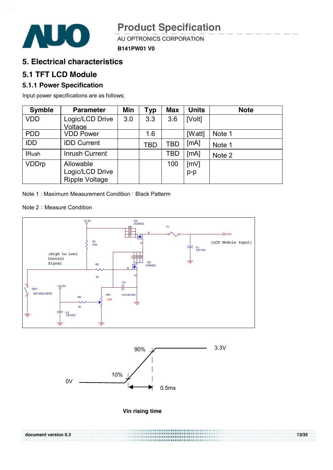

AU OPTRONICS CORPORATION



# **5. Electrical characteristics**

### **5.1 TFT LCD Module**

**AUO** 

### **5.1.1 Power Specification**

Input power specifications are as follows;

| <b>Symble</b> | <b>Parameter</b>      | Min | <b>Typ</b> | <b>Max</b> | <b>Units</b> | <b>Note</b> |
|---------------|-----------------------|-----|------------|------------|--------------|-------------|
| <b>VDD</b>    | Logic/LCD Drive       | 3.0 | 3.3        | 3.6        | [Volt]       |             |
|               | Voltage               |     |            |            |              |             |
| <b>PDD</b>    | <b>VDD Power</b>      |     | 1.6        |            | [Watt]       | Note 1      |
| <b>IDD</b>    | <b>IDD Current</b>    |     | TBD        | TBD        | [MA]         | Note 1      |
| <b>IRush</b>  | <b>Inrush Current</b> |     |            | <b>TBD</b> | [MA]         | Note 2      |
| <b>VDDrp</b>  | Allowable             |     |            | 100        | [mV]         |             |
|               | Logic/LCD Drive       |     |            |            | $p-p$        |             |
|               | <b>Ripple Voltage</b> |     |            |            |              |             |

Note 1 : Maximum Measurement Condition : Black Patterm

Note 2: Measure Condition







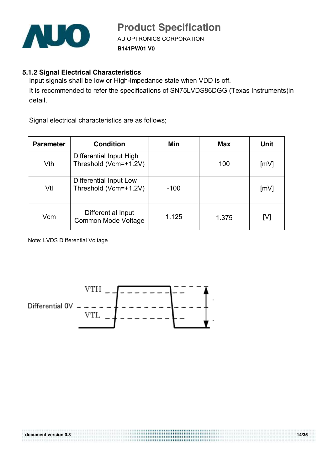

AU OPTRONICS CORPORATION

**B141PW01 V0**

### **5.1.2 Signal Electrical Characteristics**

Input signals shall be low or High-impedance state when VDD is off. It is recommended to refer the specifications of SN75LVDS86DGG (Texas Instruments)in detail.

Signal electrical characteristics are as follows;

| <b>Parameter</b> | <b>Condition</b>                                 | Min    | <b>Max</b> | Unit               |
|------------------|--------------------------------------------------|--------|------------|--------------------|
| Vth              | Differential Input High<br>Threshold (Vcm=+1.2V) |        | 100        | $\lceil mV \rceil$ |
| Vtl              | Differential Input Low<br>Threshold (Vcm=+1.2V)  | $-100$ |            | $\lceil mV \rceil$ |
| Vcm              | Differential Input<br><b>Common Mode Voltage</b> | 1.125  | 1.375      | [V]                |

\*\*\*\*\*\*\*\*\*\*\*\*\*\*\*\*\*\*\*\*\*\*\*\*

Note: LVDS Differential Voltage

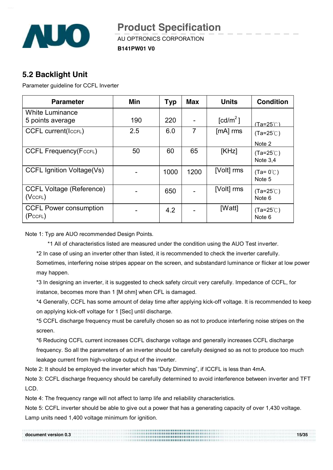

AU OPTRONICS CORPORATION

**B141PW01 V0**

## **5.2 Backlight Unit**

Parameter guideline for CCFL Inverter

| <b>Parameter</b>                                 | Min | Typ  | <b>Max</b> | <b>Units</b>         | <b>Condition</b>                        |
|--------------------------------------------------|-----|------|------------|----------------------|-----------------------------------------|
| <b>White Luminance</b>                           |     |      |            |                      |                                         |
| 5 points average                                 | 190 | 220  |            | [cd/m <sup>2</sup> ] | $(Ta=25^\circ \textcircled{C})$         |
| <b>CCFL current(IccFL)</b>                       | 2.5 | 6.0  | 7          | $[mA]$ rms           | $(Ta=25^{\circ}C)$                      |
|                                                  |     |      |            |                      | Note 2                                  |
| <b>CCFL Frequency(FccFL)</b>                     | 50  | 60   | 65         | [KHz]                | $(Ta=25^{\circ}C)$<br>Note $3,4$        |
| <b>CCFL Ignition Voltage(Vs)</b>                 |     | 1000 | 1200       | [Volt] rms           | $(Ta=0^{\circ}\text{C})$<br>Note 5      |
| <b>CCFL Voltage (Reference)</b><br>$(Vc$ CFL $)$ |     | 650  |            | [Volt] rms           | $(Ta=25^{\circ}C)$<br>Note 6            |
| <b>CCFL Power consumption</b><br>(PccFL)         |     | 4.2  |            | [Watt]               | $(Ta=25^{\circ}C)$<br>Note <sub>6</sub> |

Note 1: Typ are AUO recommended Design Points.

\*1 All of characteristics listed are measured under the condition using the AUO Test inverter.

\*2 In case of using an inverter other than listed, it is recommended to check the inverter carefully.

Sometimes, interfering noise stripes appear on the screen, and substandard luminance or flicker at low power may happen.

\*3 In designing an inverter, it is suggested to check safety circuit very carefully. Impedance of CCFL, for instance, becomes more than 1 [M ohm] when CFL is damaged.

\*4 Generally, CCFL has some amount of delay time after applying kick-off voltage. It is recommended to keep on applying kick-off voltage for 1 [Sec] until discharge.

\*5 CCFL discharge frequency must be carefully chosen so as not to produce interfering noise stripes on the screen.

\*6 Reducing CCFL current increases CCFL discharge voltage and generally increases CCFL discharge frequency. So all the parameters of an inverter should be carefully designed so as not to produce too much leakage current from high-voltage output of the inverter.

Note 2: It should be employed the inverter which has "Duty Dimming", if ICCFL is less than 4mA.

Note 3: CCFL discharge frequency should be carefully determined to avoid interference between inverter and TFT LCD.

Note 4: The frequency range will not affect to lamp life and reliability characteristics.

Note 5: CCFL inverter should be able to give out a power that has a generating capacity of over 1,430 voltage. Lamp units need 1,400 voltage minimum for ignition.

| document version 0.3 | ,,,,,,,,,,,,,,,,,,,,,,,,,,,,,,,,,,,<br><b></b> | 15/35 |
|----------------------|------------------------------------------------|-------|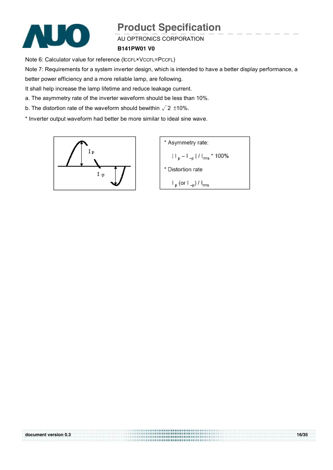

#### AU OPTRONICS CORPORATION

#### **B141PW01 V0**

Note 6: Calculator value for reference (ICCFL×VCCFL=PCCFL)

Note 7: Requirements for a system inverter design, which is intended to have a better display performance, a

better power efficiency and a more reliable lamp, are following.

It shall help increase the lamp lifetime and reduce leakage current.

a. The asymmetry rate of the inverter waveform should be less than 10%.

b. The distortion rate of the waveform should bewithin  $\sqrt{2}$  ±10%.

\* Inverter output waveform had better be more similar to ideal sine wave.



\* Asymmetry rate:  $|||_{p} - |||_{-p} ||/||_{rms} * 100\%$ \* Distortion rate  $\mathsf{I}_{\mathsf{p}}$  (or  $\mathsf{I}_{\mathsf{-p}}$ ) /  $\mathsf{I}_{\mathsf{rms}}$ 

**document version 0.3 16/35**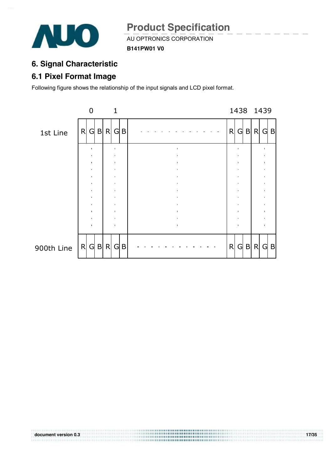

AU OPTRONICS CORPORATION

**B141PW01 V0**

# **6. Signal Characteristic**

# **6.1 Pixel Format Image**

Following figure shows the relationship of the input signals and LCD pixel format.



**TERRITORY**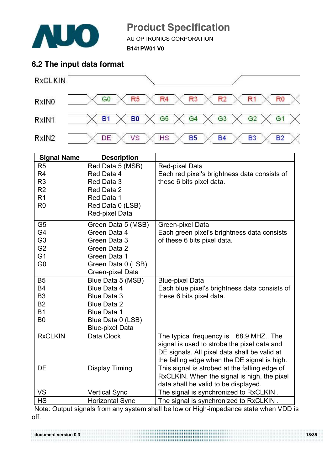

*BAKBARAKERARAKERAKER* 

# **Product Specification**

 $A = 2$   $A = 1$   $A = 3$   $A = 1$   $A = 1$   $A = 1$   $A = 1$   $A = 1$   $A = 1$   $A = 1$   $A = 1$   $A = 1$   $A = 1$ 

**B141PW01 V0**

### **6.2 The input data format**



| <b>Signal Name</b> | <b>Description</b>     |                                               |
|--------------------|------------------------|-----------------------------------------------|
| R <sub>5</sub>     | Red Data 5 (MSB)       | Red-pixel Data                                |
| R <sub>4</sub>     | Red Data 4             | Each red pixel's brightness data consists of  |
| R <sub>3</sub>     | Red Data 3             | these 6 bits pixel data.                      |
| R <sub>2</sub>     | Red Data 2             |                                               |
| R <sub>1</sub>     | Red Data 1             |                                               |
| R <sub>0</sub>     | Red Data 0 (LSB)       |                                               |
|                    | Red-pixel Data         |                                               |
| G <sub>5</sub>     | Green Data 5 (MSB)     | Green-pixel Data                              |
| G4                 | Green Data 4           | Each green pixel's brightness data consists   |
| G <sub>3</sub>     | Green Data 3           | of these 6 bits pixel data.                   |
| G <sub>2</sub>     | Green Data 2           |                                               |
| G <sub>1</sub>     | Green Data 1           |                                               |
| G <sub>0</sub>     | Green Data 0 (LSB)     |                                               |
|                    | Green-pixel Data       |                                               |
| <b>B5</b>          | Blue Data 5 (MSB)      | <b>Blue-pixel Data</b>                        |
| <b>B4</b>          | Blue Data 4            | Each blue pixel's brightness data consists of |
| B <sub>3</sub>     | <b>Blue Data 3</b>     | these 6 bits pixel data.                      |
| <b>B2</b>          | <b>Blue Data 2</b>     |                                               |
| <b>B1</b>          | <b>Blue Data 1</b>     |                                               |
| B <sub>0</sub>     | Blue Data 0 (LSB)      |                                               |
|                    | <b>Blue-pixel Data</b> |                                               |
| <b>RxCLKIN</b>     | Data Clock             | The typical frequency is 68.9 MHZ The         |
|                    |                        | signal is used to strobe the pixel data and   |
|                    |                        | DE signals. All pixel data shall be valid at  |
|                    |                        | the falling edge when the DE signal is high.  |
| <b>DE</b>          | <b>Display Timing</b>  | This signal is strobed at the falling edge of |
|                    |                        | RxCLKIN. When the signal is high, the pixel   |
|                    |                        | data shall be valid to be displayed.          |
| <b>VS</b>          | <b>Vertical Sync</b>   | The signal is synchronized to RxCLKIN.        |
| <b>HS</b>          | <b>Horizontal Sync</b> | The signal is synchronized to RxCLKIN.        |

Note: Output signals from any system shall be low or High-impedance state when VDD is off.

**document version 0.3 18/35**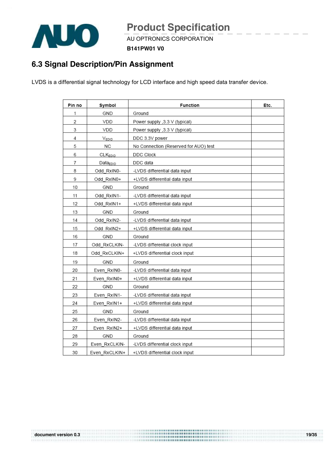

 $A = 2 = 1$  and  $B = 2$  and  $C = 1$ 

**B141PW01 V0**

# **6.3 Signal Description/Pin Assignment**

LVDS is a differential signal technology for LCD interface and high speed data transfer device.

| Pin no | Symbol               | <b>Function</b>                       | Etc. |
|--------|----------------------|---------------------------------------|------|
| 1      | GND                  | Ground                                |      |
| 2      | VDD                  | Power supply , 3.3 V (typical)        |      |
| 3      | VDD                  | Power supply , 3.3 V (typical)        |      |
| 4      | VEDID                | DDC 3.3V power                        |      |
| 5      | NC                   | No Connection (Reserved for AUO) test |      |
| 6      | <b>CLKEDID</b>       | DDC Clock                             |      |
| 7      | Data <sub>EDID</sub> | DDC data                              |      |
| 8      | Odd RxIN0-           | -LVDS differential data input         |      |
| 9      | Odd RxIN0+           | +LVDS differential data input         |      |
| 10     | GND                  | Ground                                |      |
| 11     | Odd RxIN1-           | -LVDS differential data input         |      |
| 12     | Odd RxIN1+           | +LVDS differential data input         |      |
| 13     | GND                  | Ground                                |      |
| 14     | Odd RxIN2-           | -LVDS differential data input         |      |
| 15     | Odd RxIN2+           | +LVDS differential data input         |      |
| 16     | GND                  | Ground                                |      |
| 17     | Odd RxCLKIN-         | -LVDS differential clock input        |      |
| 18     | Odd RxCLKIN+         | +LVDS differential clock input        |      |
| 19     | GND                  | Ground                                |      |
| 20     | Even_RxIN0-          | -LVDS differential data input         |      |
| 21     | Even RxIN0+          | +LVDS differential data input         |      |
| 22     | GND                  | Ground                                |      |
| 23     | Even RxIN1-          | -LVDS differential data input         |      |
| 24     | Even_RxIN1+          | +LVDS differential data input         |      |
| 25     | GND                  | Ground                                |      |
| 26     | Even RxIN2-          | -LVDS differential data input         |      |
| 27     | Even RxIN2+          | +LVDS differential data input         |      |
| 28     | GND                  | Ground                                |      |
| 29     | Even RxCLKIN-        | -LVDS differential clock input        |      |
| 30     | Even RxCLKIN+        | +LVDS differential clock input        |      |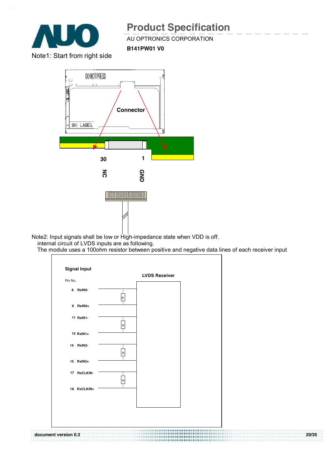

AU OPTRONICS CORPORATION

**B141PW01 V0**

Note1: Start from right side



Note2: Input signals shall be low or High-impedance state when VDD is off. internal circuit of LVDS inputs are as following.

The module uses a 100ohm resistor between positive and negative data lines of each receiver input

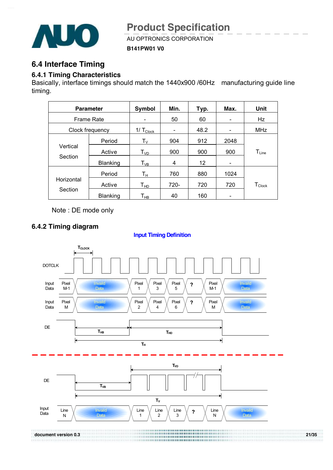

AU OPTRONICS CORPORATION

**B141PW01 V0**

### **6.4 Interface Timing**

#### **6.4.1 Timing Characteristics**

Basically, interface timings should match the 1440x900 /60Hz manufacturing guide line timing.

|                   | <b>Parameter</b> | Symbol                      | Min.                     | Typ. | Max.                         | Unit                 |
|-------------------|------------------|-----------------------------|--------------------------|------|------------------------------|----------------------|
| <b>Frame Rate</b> |                  |                             | 50                       | 60   |                              | Hz                   |
|                   | Clock frequency  | $1/\text{T}_{\text{Clock}}$ | $\overline{\phantom{a}}$ | 48.2 | $\qquad \qquad \blacksquare$ | MHz                  |
|                   | Period           | $T_{\rm V}$                 | 904                      | 912  | 2048                         |                      |
| Vertical          | Active           | $T_{VD}$                    | 900                      | 900  | 900                          | $T_{Line}$           |
| Section           | <b>Blanking</b>  | $\mathsf{T}_{\mathsf{VB}}$  | 4                        | 12   |                              |                      |
|                   | Period           | Tн                          | 760                      | 880  | 1024                         |                      |
| Horizontal        | Active           | Т <sub>нр</sub>             | $720 -$                  | 720  | 720                          | $T_{\mathsf{Clock}}$ |
| Section           | <b>Blanking</b>  | Т <sub>нв</sub>             | 40                       | 160  |                              |                      |

Note : DE mode only

### **6.4.2 Timing diagram**

#### **Input Timing Definition**

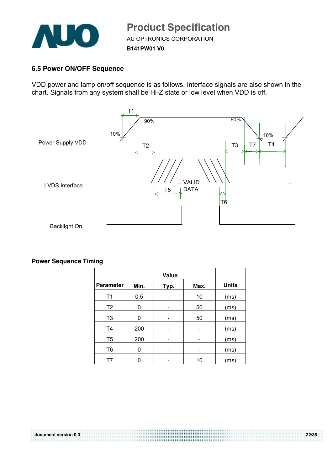

AU OPTRONICS CORPORATION

**B141PW01 V0**

#### **6.5 Power ON/OFF Sequence**

VDD power and lamp on/off sequence is as follows. Interface signals are also shown in the chart. Signals from any system shall be Hi-Z state or low level when VDD is off.



#### **Power Sequence Timing**

|                  |      | Value |      |              |
|------------------|------|-------|------|--------------|
| <b>Parameter</b> | Min. | Typ.  | Max. | <b>Units</b> |
| T <sub>1</sub>   | 0.5  |       | 10   | (ms)         |
| T <sub>2</sub>   | 0    |       | 50   | (ms)         |
| T <sub>3</sub>   | 0    |       | 50   | (ms)         |
| T <sub>4</sub>   | 200  |       |      | (ms)         |
| T <sub>5</sub>   | 200  |       |      | (ms)         |
| T <sub>6</sub>   | 0    |       |      | (ms)         |
| T7               | ∩    |       | 10   | (ms)         |

**TERRITORY**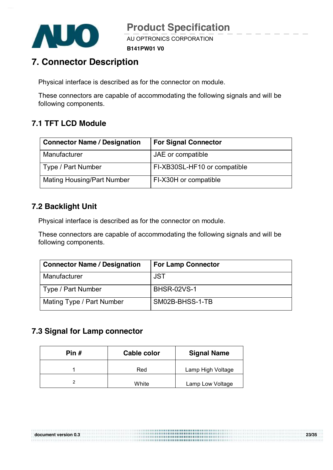

AU OPTRONICS CORPORATION

**B141PW01 V0**

# **7. Connector Description**

Physical interface is described as for the connector on module.

These connectors are capable of accommodating the following signals and will be following components.

# **7.1 TFT LCD Module**

| <b>Connector Name / Designation</b> | <b>For Signal Connector</b>  |
|-------------------------------------|------------------------------|
| Manufacturer                        | JAE or compatible            |
| Type / Part Number                  | FI-XB30SL-HF10 or compatible |
| <b>Mating Housing/Part Number</b>   | FI-X30H or compatible        |

### **7.2 Backlight Unit**

Physical interface is described as for the connector on module.

These connectors are capable of accommodating the following signals and will be following components.

| <b>Connector Name / Designation</b> | <b>For Lamp Connector</b> |
|-------------------------------------|---------------------------|
| Manufacturer                        | <b>JST</b>                |
| Type / Part Number                  | <b>BHSR-02VS-1</b>        |
| Mating Type / Part Number           | SM02B-BHSS-1-TB           |

**document version 0.3 23/35** 

### **7.3 Signal for Lamp connector**

| Pin # | Cable color | <b>Signal Name</b> |
|-------|-------------|--------------------|
|       | Red         | Lamp High Voltage  |
|       | White       | Lamp Low Voltage   |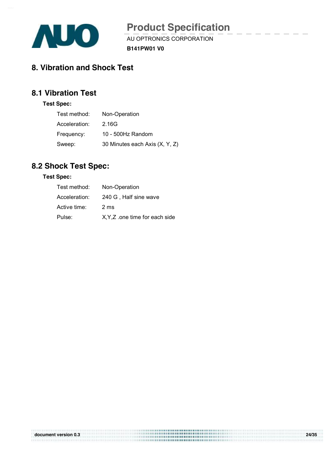

AU OPTRONICS CORPORATION

**B141PW01 V0**

# **8. Vibration and Shock Test**

# **8.1 Vibration Test**

#### **Test Spec:**

| Test method:  | Non-Operation                  |
|---------------|--------------------------------|
| Acceleration: | 2.16G                          |
| Frequency:    | 10 - 500Hz Random              |
| Sweep:        | 30 Minutes each Axis (X, Y, Z) |

# **8.2 Shock Test Spec:**

#### **Test Spec:**

| Test method:  | Non-Operation                  |
|---------------|--------------------------------|
| Acceleration: | 240 G, Half sine wave          |
| Active time:  | 2 ms                           |
| Pulse:        | X, Y, Z one time for each side |

| document version 0.3 |  |  |
|----------------------|--|--|
|                      |  |  |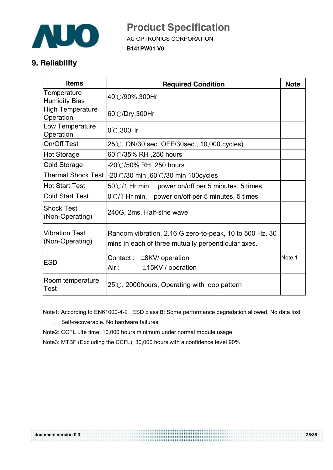

AU OPTRONICS CORPORATION

**B141PW01 V0**

# **9. Reliability**

| <b>Items</b>                             | <b>Required Condition</b>                                                                                     | <b>Note</b> |
|------------------------------------------|---------------------------------------------------------------------------------------------------------------|-------------|
| Temperature<br><b>Humidity Bias</b>      | 40℃/90%,300Hr                                                                                                 |             |
| <b>High Temperature</b><br>Operation     | 60℃/Dry,300Hr                                                                                                 |             |
| Low Temperature<br>Operation             | $0^\circ\text{C}$ , 300Hr                                                                                     |             |
| On/Off Test                              | 25℃, ON/30 sec. OFF/30sec., 10,000 cycles)                                                                    |             |
| <b>Hot Storage</b>                       | 60℃/35% RH ,250 hours                                                                                         |             |
| <b>Cold Storage</b>                      | -20℃/50% RH ,250 hours                                                                                        |             |
| <b>Thermal Shock Test</b>                | 20℃/30 min ,60℃/30 min 100cycles∈                                                                             |             |
| <b>Hot Start Test</b>                    | $50^{\circ}$ C/1 Hr min. power on/off per 5 minutes, 5 times                                                  |             |
| <b>Cold Start Test</b>                   | $0^{\circ}$ C/1 Hr min. power on/off per 5 minutes, 5 times                                                   |             |
| <b>Shock Test</b><br>(Non-Operating)     | 240G, 2ms, Half-sine wave                                                                                     |             |
| <b>Vibration Test</b><br>(Non-Operating) | Random vibration, 2.16 G zero-to-peak, 10 to 500 Hz, 30<br>mins in each of three mutually perpendicular axes. |             |
| <b>ESD</b>                               | Contact :<br>$±8$ KV/ operation<br>Air :<br>$±15$ KV / operation                                              | Note 1      |
| Room temperature<br>Test                 | $25^{\circ}$ C, 2000 hours, Operating with loop pattern                                                       |             |

 Note1: According to EN61000-4-2 , ESD class B: Some performance degradation allowed. No data lost . Self-recoverable. No hardware failures.

Note2: CCFL Life time: 10,000 hours minimum under normal module usage.

Note3: MTBF (Excluding the CCFL): 30,000 hours with a confidence level 90%

**TELLISTER**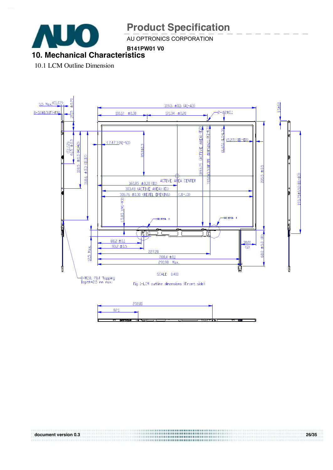

1111111111111111

# **Product Specification**

AU OPTRONICS CORPORATION

#### **B141PW01 V0 10. Mechanical Characteristics**

10.1 LCM Outline Dimension



**document version 0.3 26/35**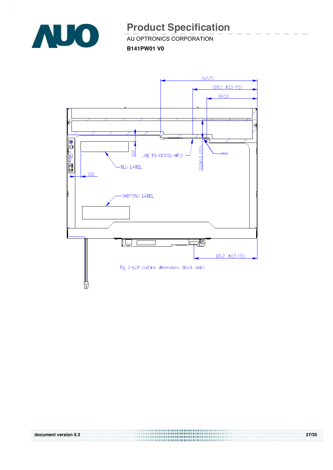

 $\overline{\phantom{a}}$   $\overline{\phantom{a}}$   $\overline{\phantom{a}}$   $\overline{\phantom{a}}$   $\overline{\phantom{a}}$   $\overline{\phantom{a}}$   $\overline{\phantom{a}}$   $\overline{\phantom{a}}$   $\overline{\phantom{a}}$   $\overline{\phantom{a}}$   $\overline{\phantom{a}}$   $\overline{\phantom{a}}$   $\overline{\phantom{a}}$   $\overline{\phantom{a}}$   $\overline{\phantom{a}}$   $\overline{\phantom{a}}$   $\overline{\phantom{a}}$   $\overline{\phantom{a}}$   $\overline{\$ 

**B141PW01 V0**



**document version 0.3 27/35**  83.7313 847433 83 8 8 8 8 8 8 8 8 8 8 8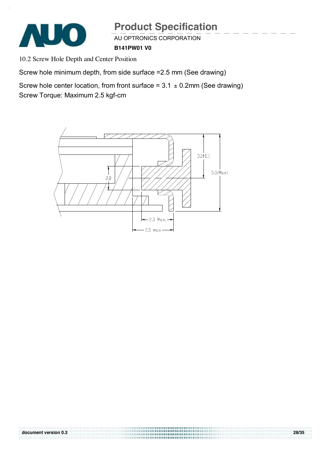

AU OPTRONICS CORPORATION

**B141PW01 V0**

10.2 Screw Hole Depth and Center Position

Screw hole minimum depth, from side surface =2.5 mm (See drawing)

Screw hole center location, from front surface =  $3.1 \pm 0.2$ mm (See drawing) Screw Torque: Maximum 2.5 kgf-cm

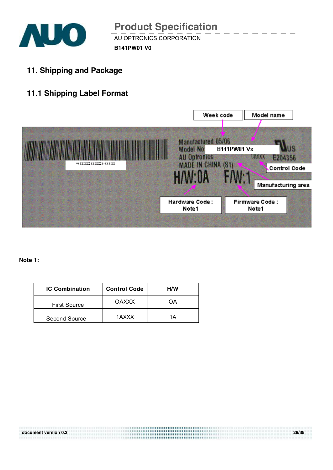

AU OPTRONICS CORPORATION **B141PW01 V0 Product Specification** 

**11. Shipping and Package** 

# **11.1 Shipping Label Format**



**Note 1:** 

| <b>IC Combination</b> | <b>Control Code</b> | H/W |
|-----------------------|---------------------|-----|
| <b>First Source</b>   | <b>OAXXX</b>        | OΑ  |
| <b>Second Source</b>  | 1AXXX               | 1Α  |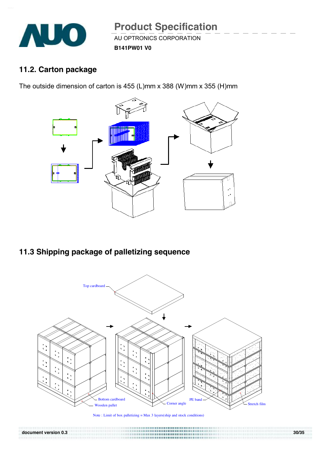

# **11.2. Carton package**

The outside dimension of carton is 455 (L)mm x 388 (W)mm x 355 (H)mm



# **11.3 Shipping package of palletizing sequence**



Note : Limit of box palletizing = Max 3 layers(ship and stock conditions)

**document version 0.3 30/35**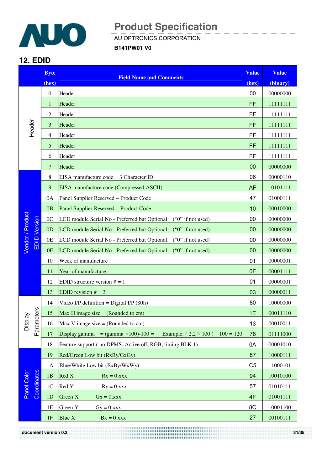

 $A$ U OPTRONICS CORPORATION

**B141PW01 V0**

### **12. EDID**

|                                         | <b>Byte</b>      | <b>Value</b><br><b>Field Name and Comments</b>                                          |                | <b>Value</b> |
|-----------------------------------------|------------------|-----------------------------------------------------------------------------------------|----------------|--------------|
|                                         | (hex)            |                                                                                         |                | (binary)     |
|                                         | $\boldsymbol{0}$ | Header                                                                                  | 00             | 00000000     |
|                                         | $\mathbf{1}$     | Header                                                                                  | FF             | 11111111     |
|                                         | $\overline{c}$   | Header                                                                                  | FF             | 11111111     |
| Header                                  | 3                | Header                                                                                  | FF             | 11111111     |
|                                         | $\overline{4}$   | Header                                                                                  | FF             | 11111111     |
|                                         | 5                | Header                                                                                  | FF             | 11111111     |
|                                         | 6                | Header                                                                                  | FF             | 11111111     |
|                                         | $\tau$           | Header                                                                                  |                | 00000000     |
|                                         | 8                | EISA manufacture $code = 3$ Character ID                                                | 06             | 00000110     |
|                                         | 9                | EISA manufacture code (Compressed ASCII)                                                | <b>AF</b>      | 10101111     |
|                                         | 0A               | Panel Supplier Reserved - Product Code                                                  | 47             | 01000111     |
|                                         | 0B               | Panel Supplier Reserved - Product Code                                                  | 10             | 00010000     |
|                                         | 0 <sub>C</sub>   | LCD module Serial No - Preferred but Optional<br>$("0"$ if not used)                    | 00             | 00000000     |
| Vendor / Product<br><b>EDID</b> Version | 0 <sub>D</sub>   | LCD module Serial No - Preferred but Optional<br>$("0"$ if not used)                    | 00             | 00000000     |
|                                         | 0E               | LCD module Serial No - Preferred but Optional<br>$("0"$ if not used)                    | 00             | 00000000     |
|                                         | 0F               | LCD module Serial No - Preferred but Optional<br>$("0"$ if not used)                    | 00             | 00000000     |
|                                         | 10               | Week of manufacture                                                                     | 01             | 00000001     |
|                                         | 11               | Year of manufacture                                                                     | 0F             | 00001111     |
|                                         | 12               | EDID structure version $# = 1$                                                          | 01             | 00000001     |
|                                         | 13               | EDID revision $# = 3$                                                                   |                | 00000011     |
|                                         | 14               | Video I/P definition = Digital I/P $(80h)$                                              | 80             | 10000000     |
| ters                                    | 15               | Max H image size $=$ (Rounded to cm)                                                    | 1E             | 00011110     |
| <b>Display</b><br>Parame                | 16               | Max V image size $=$ (Rounded to cm)                                                    | 13             | 00010011     |
|                                         | 17               | Example: $(2.2 \times 100) - 100 = 120$<br>Display gamma = $(gamma \times 100) - 100 =$ | 78             | 01111000     |
|                                         | 18               | Feature support (no DPMS, Active off, RGB, timing BLK 1)                                | 0A             | 00001010     |
|                                         | 19               | Red/Green Low bit (RxRy/GxGy)                                                           | 87             | 10000111     |
|                                         | 1A               | Blue/White Low bit (BxBy/WxWy)                                                          | C <sub>5</sub> | 11000101     |
| Panel Color<br>Coordinates              | 1B               | Red X<br>$Rx = 0.xxx$                                                                   | 94             | 10010100     |
|                                         | 1 <sup>C</sup>   | Red Y<br>$Ry = 0.xxx$                                                                   | 57             | 01010111     |
|                                         | 1D               | Green X<br>$Gx = 0.xxx$                                                                 | 4F             | 01001111     |
|                                         | 1E               | Green Y<br>$Gy = 0.xxx$                                                                 | 8C             | 10001100     |
|                                         | 1F               | Blue $X$<br>$Bx = 0.xxx$                                                                | 27             | 00100111     |

**document version 0.3 31/35**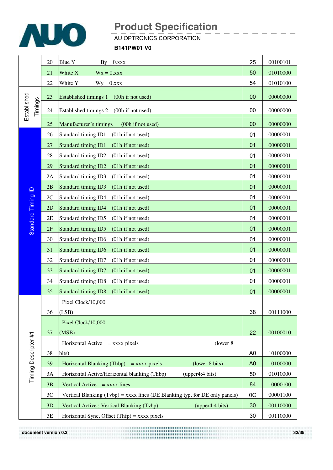

### $A$ U OPTRONICS CORPORATION

#### **B141PW01 V0**

|                        | 20 | <b>Blue Y</b><br>$By = 0.xxx$                                                 | 25             | 00100101 |
|------------------------|----|-------------------------------------------------------------------------------|----------------|----------|
|                        | 21 | White X<br>$Wx = 0.xxx$                                                       | 50             | 01010000 |
|                        | 22 | 54                                                                            | 01010100       |          |
|                        | 23 | <b>Established timings 1</b><br>(00h if not used)                             | 00             | 00000000 |
| Established<br>Timings | 24 | Established timings 2<br>(00h if not used)                                    | 00             | 00000000 |
|                        | 25 | Manufacturer's timings<br>(00h if not used)                                   | 00             | 00000000 |
|                        | 26 | Standard timing ID1<br>(01h if not used)                                      | 01             | 00000001 |
|                        | 27 | Standard timing ID1<br>(01h if not used)                                      | 01             | 00000001 |
|                        | 28 | (01h if not used)<br>Standard timing ID2                                      |                | 00000001 |
|                        | 29 | (01h if not used)<br>Standard timing ID2                                      | 01             | 00000001 |
|                        | 2A | (01h if not used)<br>Standard timing ID3                                      | 01             | 00000001 |
|                        | 2B | <b>Standard timing ID3</b><br>(01h if not used)                               | 01             | 00000001 |
| Standard Timing ID     | 2C | Standard timing ID4<br>(01h if not used)                                      | 01             | 00000001 |
|                        | 2D | <b>Standard timing ID4</b><br>(01h if not used)                               | 01             | 00000001 |
|                        | 2E | Standard timing ID5<br>(01h if not used)                                      | 01             | 00000001 |
|                        | 2F | Standard timing ID5<br>(01h if not used)                                      |                | 00000001 |
|                        | 30 | Standard timing ID6<br>(01h if not used)                                      |                | 00000001 |
|                        | 31 | (01h if not used)<br>Standard timing ID6                                      | 01             | 00000001 |
|                        | 32 | (01h if not used)<br>Standard timing ID7                                      | 01             | 00000001 |
|                        | 33 | Standard timing ID7<br>(01h if not used)                                      | 01             | 00000001 |
|                        | 34 | Standard timing ID8<br>(01h if not used)                                      | 01             | 00000001 |
|                        | 35 | <b>Standard timing ID8</b><br>(01h if not used)                               | 01             | 00000001 |
|                        |    | Pixel Clock/10,000                                                            |                |          |
|                        | 36 | (LSB)                                                                         | 38             | 00111000 |
|                        |    | Pixel Clock/10,000                                                            |                |          |
|                        | 37 | (MSB)                                                                         | 22             | 00100010 |
|                        |    | (lower 8)<br>Horizontal Active $=$ xxxx pixels                                |                |          |
|                        | 38 | bits)                                                                         | A <sub>0</sub> | 10100000 |
|                        | 39 | Horizontal Blanking (Thbp) = $xxxx$ pixels<br>(lower 8 bits)                  | A <sub>0</sub> | 10100000 |
| Timing Descripter #1   | 3A | Horizontal Active/Horizontal blanking (Thbp)<br>(upper4:4 bits)               | 50             | 01010000 |
|                        | 3B | Vertical Active $=$ xxxx lines                                                |                | 10000100 |
|                        | 3C | Vertical Blanking $(Tvbp) =$ xxxx lines (DE Blanking typ. for DE only panels) |                | 00001100 |
|                        | 3D | Vertical Active : Vertical Blanking (Tvbp)<br>(upper4:4 bits)                 | 30             | 00110000 |
|                        | 3E | Horizontal Sync, Offset $(Thfp) =$ xxxx pixels                                | 30             | 00110000 |

**document version 0.3 32/35**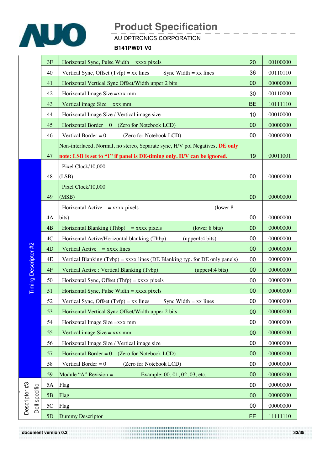

### $A$ U OPTRONICS CORPORATION

#### **B141PW01 V0**

|                                | 3F<br>Horizontal Sync, Pulse Width $=$ xxxx pixels                         |                                                                               | 20        | 00100000 |
|--------------------------------|----------------------------------------------------------------------------|-------------------------------------------------------------------------------|-----------|----------|
|                                | 40<br>Vertical Sync, Offset $(Tvfp) = xx$ lines<br>Sync Width $= xx$ lines |                                                                               |           | 00110110 |
|                                | 41                                                                         | Horizontal Vertical Sync Offset/Width upper 2 bits                            | 00        | 00000000 |
|                                | 42                                                                         | Horizontal Image Size =xxx mm                                                 | 30        | 00110000 |
|                                | Vertical image $Size = XXX$ mm<br>43                                       |                                                                               |           | 10111110 |
|                                | 44<br>Horizontal Image Size / Vertical image size                          |                                                                               | 10        | 00010000 |
|                                | 45                                                                         | Horizontal Border = $0$ (Zero for Notebook LCD)                               | 00        | 00000000 |
|                                | 46                                                                         | Vertical Border = $0$<br>(Zero for Notebook LCD)                              | 00        | 00000000 |
|                                |                                                                            | Non-interlaced, Normal, no stereo, Separate sync, H/V pol Negatives, DE only  |           |          |
|                                | 47                                                                         | note: LSB is set to "1" if panel is DE-timing only. H/V can be ignored.       | 19        | 00011001 |
|                                |                                                                            | Pixel Clock/10,000                                                            |           |          |
|                                | 48                                                                         | (LSB)                                                                         | 00        | 00000000 |
|                                |                                                                            | Pixel Clock/10,000                                                            |           |          |
|                                | 49                                                                         | (MSB)                                                                         | 00        | 00000000 |
|                                |                                                                            | Horizontal Active $=$ xxxx pixels<br>(lower 8)                                |           |          |
|                                | 4A                                                                         | bits)                                                                         | 00        | 00000000 |
|                                | 4B                                                                         | Horizontal Blanking (Thbp) = $xxxx$ pixels<br>(lower 8 bits)                  | 00        | 00000000 |
|                                | 4C                                                                         | Horizontal Active/Horizontal blanking (Thbp)<br>(upper4:4 bits)               | 00        | 00000000 |
|                                | 4D                                                                         | Vertical Active $=$ xxxx lines                                                | 00        | 00000000 |
| Timing Descripter #2           | 4E                                                                         | Vertical Blanking $(Tvbp) =$ xxxx lines (DE Blanking typ. for DE only panels) | 00        | 00000000 |
|                                | 4F                                                                         | Vertical Active : Vertical Blanking (Tvbp)<br>(upper4:4 bits)                 | 00        | 00000000 |
|                                | 50                                                                         | Horizontal Sync, Offset $(Thfp) =$ xxxx pixels                                | 00        | 00000000 |
|                                | 51                                                                         | Horizontal Sync, Pulse Width $=$ xxxx pixels                                  | 00        | 00000000 |
|                                | 52                                                                         | Vertical Sync, Offset $(Tvfp) = xx$ lines<br>Sync Width $= xx$ lines          |           | 00000000 |
|                                | 53                                                                         | Horizontal Vertical Sync Offset/Width upper 2 bits                            | 00        | 00000000 |
|                                | 54                                                                         | Horizontal Image Size = xxx mm                                                | 00        | 00000000 |
|                                | 55                                                                         | Vertical image $Size = XXX$ mm                                                | 00        | 00000000 |
|                                | 56                                                                         | Horizontal Image Size / Vertical image size                                   | 00        | 00000000 |
|                                | 57                                                                         | Horizontal Border = $0$ (Zero for Notebook LCD)                               | 00        | 00000000 |
|                                | 58                                                                         | Vertical Border = $0$<br>(Zero for Notebook LCD)                              | 00        | 00000000 |
|                                | 59                                                                         | Module "A" Revision $=$<br>Example: 00, 01, 02, 03, etc.                      | 00        | 00000000 |
|                                | 5A                                                                         | Flag                                                                          | 00        | 00000000 |
|                                | 5B                                                                         | Flag                                                                          | 00        | 00000000 |
| Descripter #3<br>Dell specific | 5C                                                                         | Flag                                                                          |           | 00000000 |
|                                | Dummy Descriptor<br>5D                                                     |                                                                               | <b>FE</b> | 11111110 |

**document version 0.3 33/35**  0000000000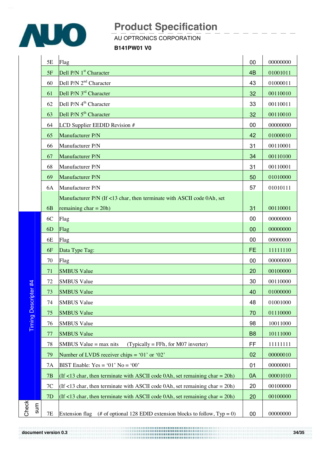

 $A$ U OPTRONICS CORPORATION

**B141PW01 V0**

|     | 5E             | Flag                                                                                      | 00             | 00000000 |
|-----|----------------|-------------------------------------------------------------------------------------------|----------------|----------|
|     | 5F             | Dell P/N 1 <sup>st</sup> Character                                                        | 4B             | 01001011 |
|     | 60             | Dell P/N 2 <sup>nd</sup> Character                                                        | 43             | 01000011 |
|     | 61             | Dell P/N 3 <sup>rd</sup> Character                                                        | 32             | 00110010 |
|     | 62             | Dell P/N 4 <sup>th</sup> Character                                                        | 33             | 00110011 |
|     | 63             | Dell P/N 5 <sup>th</sup> Character                                                        | 32             | 00110010 |
|     | 64             | LCD Supplier EEDID Revision #                                                             | 00             | 00000000 |
|     | 65             | Manufacturer P/N                                                                          | 42             | 01000010 |
|     | 66             | Manufacturer P/N                                                                          | 31             | 00110001 |
|     | 67             | Manufacturer P/N                                                                          | 34             | 00110100 |
|     | 68             | Manufacturer P/N                                                                          | 31             | 00110001 |
|     | 69             | Manufacturer P/N                                                                          | 50             | 01010000 |
|     | 6A             | Manufacturer P/N                                                                          | 57             | 01010111 |
|     |                | Manufacturer P/N (If <13 char, then terminate with ASCII code 0Ah, set                    |                |          |
|     | 6 <sub>B</sub> | remaining $char = 20h$ )                                                                  | 31             | 00110001 |
|     | 6C             | Flag                                                                                      | 00             | 00000000 |
|     | 6D             | Flag                                                                                      | 00             | 00000000 |
|     | 6E             | Flag                                                                                      | 00             | 00000000 |
|     | 6F             | Data Type Tag:                                                                            | <b>FE</b>      | 11111110 |
|     | 70             | Flag                                                                                      | 00             | 00000000 |
|     | 71             | <b>SMBUS Value</b>                                                                        | 20             | 00100000 |
|     | 72             | <b>SMBUS Value</b>                                                                        | 30             | 00110000 |
|     | 73             | <b>SMBUS Value</b>                                                                        | 40             | 01000000 |
|     | 74             | <b>SMBUS Value</b>                                                                        | 48             | 01001000 |
|     | 75             | <b>SMBUS Value</b>                                                                        | 70             | 01110000 |
|     | 76             | <b>SMBUS Value</b>                                                                        | 98             | 10011000 |
|     | 77             | <b>SMBUS Value</b>                                                                        | B <sub>8</sub> | 10111000 |
|     | 78             | SMBUS Value $=$ max nits<br>$(Typically = FFh, for M07$ inverter)                         | FF             | 11111111 |
|     | 79             | Number of LVDS receiver chips = $01'$ or $02'$                                            | 02             | 00000010 |
|     | 7A             | BIST Enable: $Yes = '01' No = '00'$                                                       | 01             | 00000001 |
|     | 7B             | (If <13 char, then terminate with ASCII code 0Ah, set remaining char = $20h$ )            | 0A             | 00001010 |
|     | 7C             | (If <13 char, then terminate with ASCII code 0Ah, set remaining char = 20h)               | 20             | 00100000 |
|     | 7D             | (If <13 char, then terminate with ASCII code 0Ah, set remaining char = $20h$ )            | 20             | 00100000 |
| ទាឈ |                |                                                                                           |                |          |
|     | <b>7E</b>      | (# of optional 128 EDID extension blocks to follow, $Type = 0$ )<br><b>Extension flag</b> | 00             | 00000000 |

**document version 0.3 34/35** 

Timing

eع<br>ح 番  $\Box$ 

escripter # 4